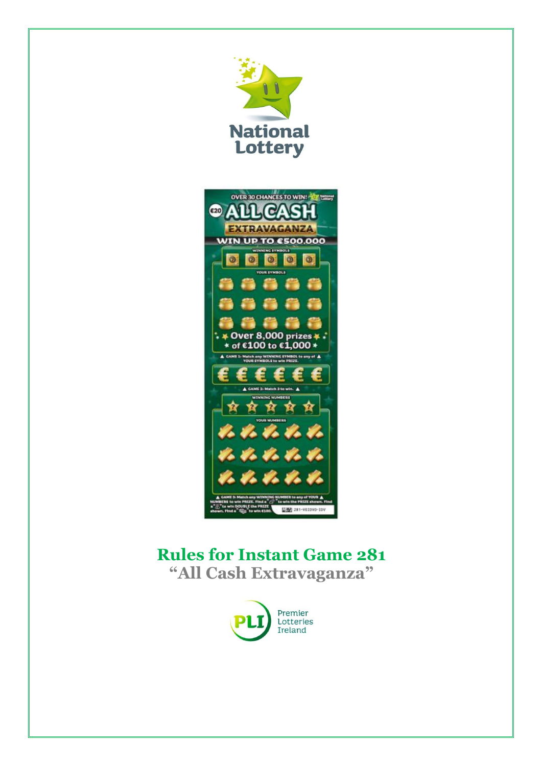

# **Rules for Instant Game 281**

**"All Cash Extravaganza"**

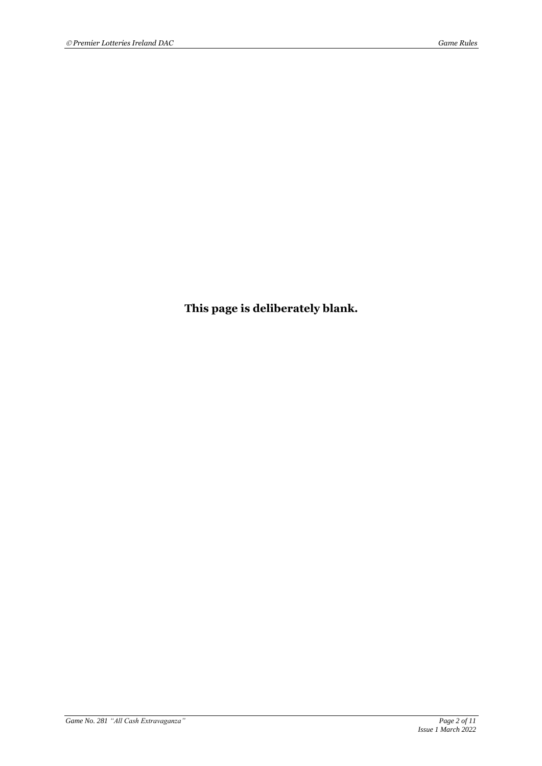**This page is deliberately blank.**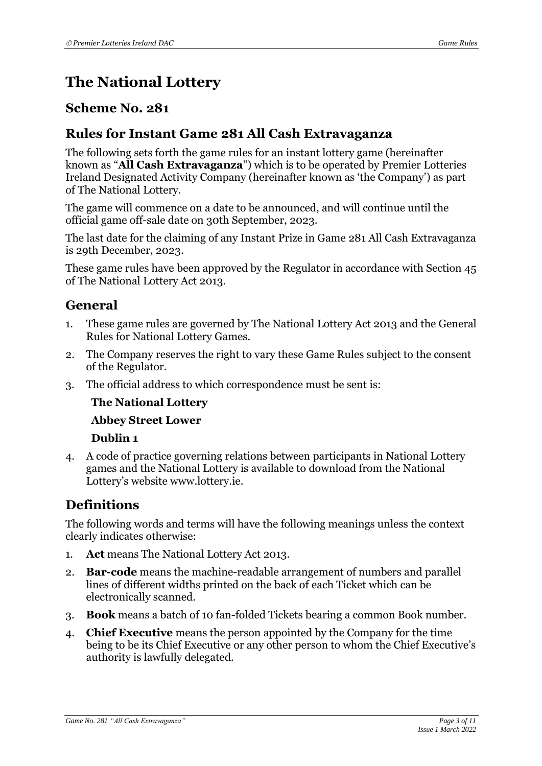## **The National Lottery**

#### **Scheme No. 281**

#### **Rules for Instant Game 281 All Cash Extravaganza**

The following sets forth the game rules for an instant lottery game (hereinafter known as "**All Cash Extravaganza**") which is to be operated by Premier Lotteries Ireland Designated Activity Company (hereinafter known as 'the Company') as part of The National Lottery.

The game will commence on a date to be announced, and will continue until the official game off-sale date on 30th September, 2023.

The last date for the claiming of any Instant Prize in Game 281 All Cash Extravaganza is 29th December, 2023.

These game rules have been approved by the Regulator in accordance with Section 45 of The National Lottery Act 2013.

## **General**

- 1. These game rules are governed by The National Lottery Act 2013 and the General Rules for National Lottery Games.
- 2. The Company reserves the right to vary these Game Rules subject to the consent of the Regulator.
- 3. The official address to which correspondence must be sent is:

#### **The National Lottery**

#### **Abbey Street Lower**

#### **Dublin 1**

4. A code of practice governing relations between participants in National Lottery games and the National Lottery is available to download from the National Lottery's website [www.lottery.ie.](http://www.lottery.ie/)

#### **Definitions**

The following words and terms will have the following meanings unless the context clearly indicates otherwise:

- 1. **Act** means The National Lottery Act 2013.
- 2. **Bar-code** means the machine-readable arrangement of numbers and parallel lines of different widths printed on the back of each Ticket which can be electronically scanned.
- 3. **Book** means a batch of 10 fan-folded Tickets bearing a common Book number.
- 4. **Chief Executive** means the person appointed by the Company for the time being to be its Chief Executive or any other person to whom the Chief Executive's authority is lawfully delegated.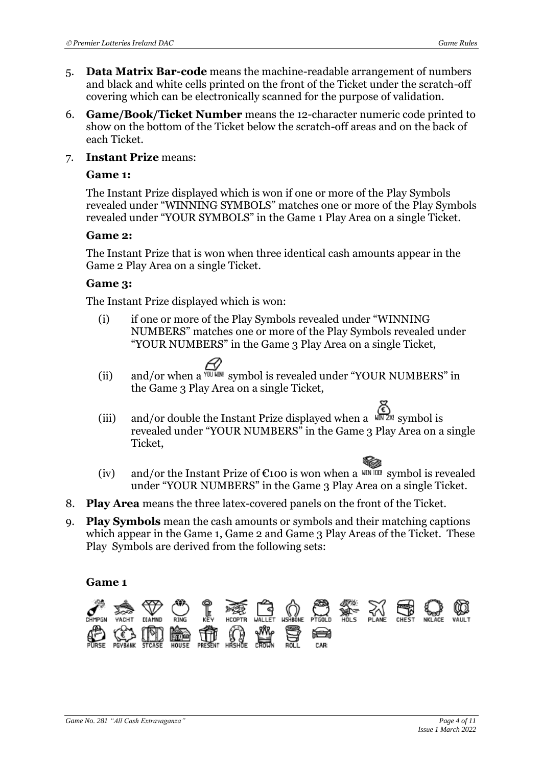- 5. **Data Matrix Bar-code** means the machine-readable arrangement of numbers and black and white cells printed on the front of the Ticket under the scratch-off covering which can be electronically scanned for the purpose of validation.
- 6. **Game/Book/Ticket Number** means the 12-character numeric code printed to show on the bottom of the Ticket below the scratch-off areas and on the back of each Ticket.
- 7. **Instant Prize** means:

#### **Game 1:**

The Instant Prize displayed which is won if one or more of the Play Symbols revealed under "WINNING SYMBOLS" matches one or more of the Play Symbols revealed under "YOUR SYMBOLS" in the Game 1 Play Area on a single Ticket.

#### **Game 2:**

The Instant Prize that is won when three identical cash amounts appear in the Game 2 Play Area on a single Ticket.

#### **Game 3:**

The Instant Prize displayed which is won:

- (i) if one or more of the Play Symbols revealed under "WINNING NUMBERS" matches one or more of the Play Symbols revealed under "YOUR NUMBERS" in the Game 3 Play Area on a single Ticket,
	-
- (ii) and/or when a  $\overline{u}$  symbol is revealed under "YOUR NUMBERS" in the Game 3 Play Area on a single Ticket,
- (iii) and/or double the Instant Prize displayed when a  $\frac{100}{100}$  symbol is revealed under "YOUR NUMBERS" in the Game 3 Play Area on a single Ticket,

- (iv) and/or the Instant Prize of  $\epsilon$ 100 is won when a  $\mathbb{R}$  symbol is revealed under "YOUR NUMBERS" in the Game 3 Play Area on a single Ticket.
- 8. **Play Area** means the three latex-covered panels on the front of the Ticket.
- 9. **Play Symbols** mean the cash amounts or symbols and their matching captions which appear in the Game 1, Game 2 and Game 3 Play Areas of the Ticket. These Play Symbols are derived from the following sets:

#### **Game 1**

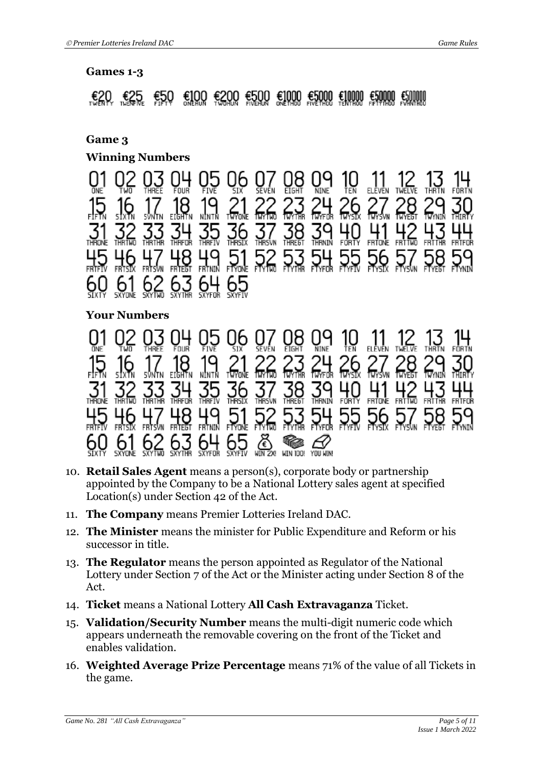#### **Games 1-3**

**,€20 ,€25 €50 €100 €200 €500 €1000 €1000 €1000 €1000 €5000** 

**Game 3**

#### **Winning Numbers**

| ŌNE                 | TWO    | THREE         | FOUR       | Five   | SIX           | SEVEN          | ŏ<br>EIGHT  | <b>NINE</b> | <u>L</u> | EL<br><b>FVFN</b> | TWELVE     | THRTN | FÓRTN       |
|---------------------|--------|---------------|------------|--------|---------------|----------------|-------------|-------------|----------|-------------------|------------|-------|-------------|
|                     |        |               |            |        | 'Wyone        |                |             | 'Wyfdr      |          |                   |            |       |             |
| īĦ                  |        | ΗF            |            |        | THRSI.X       | thrsvn         | 8<br>THRE61 | IHHNII      |          | FRT               |            | THR   | IFOR        |
|                     |        |               |            | FRTNIN | <b>FTYONE</b> | C<br>TИN<br>FТ | FТ          | FTYFOR      |          |                   | <b>MSW</b> |       | <b>MNIN</b> |
| <b>SIXTY</b>        | SXYONE | <b>SXYTWO</b> | THR<br>5XY | SXYFOR | <b>SXYFTV</b> |                |             |             |          |                   |            |       |             |
| <b>Your Numbers</b> |        |               |            |        |               |                |             |             |          |                   |            |       |             |

|  | $Q_{\rm sc}$ $Q_{\rm H}$ $Q_{\rm H}$ $Q_{\rm H}$ $Q_{\rm H}$ $Q_{\rm H}$ $Q_{\rm H}$ $Q_{\rm H}$ $Q_{\rm H}$ $Q_{\rm H}$ $Q_{\rm H}$ $Q_{\rm H}$ $Q_{\rm H}$ $Q_{\rm H}$ $Q_{\rm H}$ $Q_{\rm H}$ $Q_{\rm H}$ $Q_{\rm H}$ $Q_{\rm H}$ $Q_{\rm H}$ $Q_{\rm H}$ $Q_{\rm H}$ $Q_{\rm H}$ $Q_{\rm H}$ $Q_{\rm$ |  |               |                        |   |  |  |           |
|--|-----------------------------------------------------------------------------------------------------------------------------------------------------------------------------------------------------------------------------------------------------------------------------------------------------------|--|---------------|------------------------|---|--|--|-----------|
|  | 16.17.18.19.21.22.23.24.26.27.28.29.1                                                                                                                                                                                                                                                                     |  |               |                        |   |  |  | <b>30</b> |
|  | $\frac{31}{1000}$ $\frac{32}{1000}$ $\frac{33}{1000}$ $\frac{34}{1000}$ $\frac{35}{1000}$ $\frac{36}{1000}$ $\frac{32}{1000}$ $\frac{32}{1000}$ $\frac{32}{1000}$ $\frac{33}{1000}$ $\frac{33}{1000}$ $\frac{33}{1000}$ $\frac{33}{1000}$ $\frac{33}{1000}$                                               |  |               |                        |   |  |  |           |
|  | H.7 48 49 51 52 53 54 55 56 57 58 59                                                                                                                                                                                                                                                                      |  |               |                        |   |  |  |           |
|  | 62 63 64 65                                                                                                                                                                                                                                                                                               |  | ලි<br>WIN 2X! | q<br>WIN 100! YOU WIN! | Q |  |  |           |

- 10. **Retail Sales Agent** means a person(s), corporate body or partnership appointed by the Company to be a National Lottery sales agent at specified Location(s) under Section 42 of the Act.
- 11. **The Company** means Premier Lotteries Ireland DAC.
- 12. **The Minister** means the minister for Public Expenditure and Reform or his successor in title.
- 13. **The Regulator** means the person appointed as Regulator of the National Lottery under Section 7 of the Act or the Minister acting under Section 8 of the Act.
- 14. **Ticket** means a National Lottery **All Cash Extravaganza** Ticket.
- 15. **Validation/Security Number** means the multi-digit numeric code which appears underneath the removable covering on the front of the Ticket and enables validation.
- 16. **Weighted Average Prize Percentage** means 71% of the value of all Tickets in the game.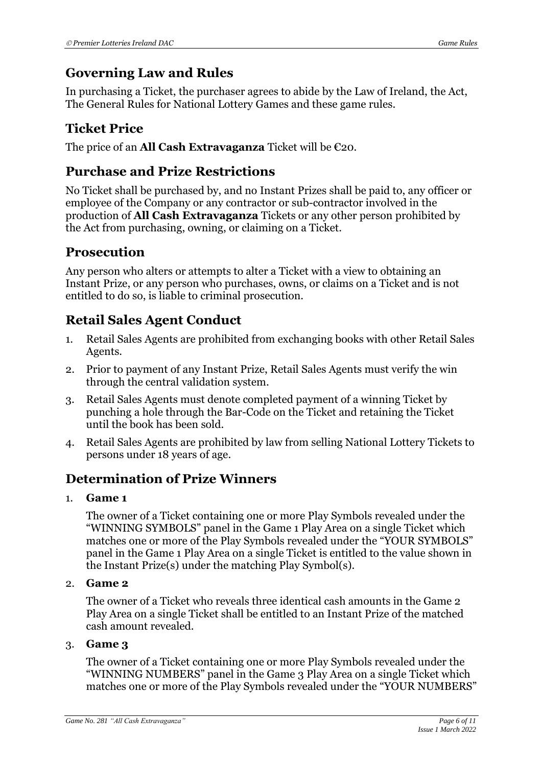## **Governing Law and Rules**

In purchasing a Ticket, the purchaser agrees to abide by the Law of Ireland, the Act, The General Rules for National Lottery Games and these game rules.

## **Ticket Price**

The price of an **All Cash Extravaganza** Ticket will be €20.

## **Purchase and Prize Restrictions**

No Ticket shall be purchased by, and no Instant Prizes shall be paid to, any officer or employee of the Company or any contractor or sub-contractor involved in the production of **All Cash Extravaganza** Tickets or any other person prohibited by the Act from purchasing, owning, or claiming on a Ticket.

## **Prosecution**

Any person who alters or attempts to alter a Ticket with a view to obtaining an Instant Prize, or any person who purchases, owns, or claims on a Ticket and is not entitled to do so, is liable to criminal prosecution.

## **Retail Sales Agent Conduct**

- 1. Retail Sales Agents are prohibited from exchanging books with other Retail Sales Agents.
- 2. Prior to payment of any Instant Prize, Retail Sales Agents must verify the win through the central validation system.
- 3. Retail Sales Agents must denote completed payment of a winning Ticket by punching a hole through the Bar-Code on the Ticket and retaining the Ticket until the book has been sold.
- 4. Retail Sales Agents are prohibited by law from selling National Lottery Tickets to persons under 18 years of age.

## **Determination of Prize Winners**

#### 1. **Game 1**

The owner of a Ticket containing one or more Play Symbols revealed under the "WINNING SYMBOLS" panel in the Game 1 Play Area on a single Ticket which matches one or more of the Play Symbols revealed under the "YOUR SYMBOLS" panel in the Game 1 Play Area on a single Ticket is entitled to the value shown in the Instant Prize(s) under the matching Play Symbol(s).

2. **Game 2**

The owner of a Ticket who reveals three identical cash amounts in the Game 2 Play Area on a single Ticket shall be entitled to an Instant Prize of the matched cash amount revealed.

#### 3. **Game 3**

The owner of a Ticket containing one or more Play Symbols revealed under the "WINNING NUMBERS" panel in the Game 3 Play Area on a single Ticket which matches one or more of the Play Symbols revealed under the "YOUR NUMBERS"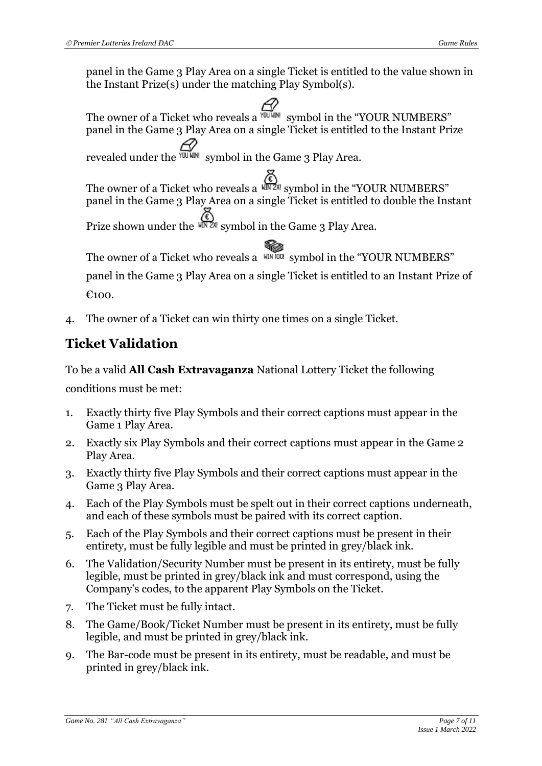panel in the Game 3 Play Area on a single Ticket is entitled to the value shown in the Instant Prize(s) under the matching Play Symbol(s).

The owner of a Ticket who reveals a **NUMBERS**" symbol in the "YOUR NUMBERS" panel in the Game 3 Play Area on a single Ticket is entitled to the Instant Prize revealed under the  $\overline{{\sf W}}$  symbol in the Game 3 Play Area. The owner of a Ticket who reveals a  $\,^{\tt WTPX\!}$  symbol in the "YOUR NUMBERS" panel in the Game 3 Play Area on a single Ticket is entitled to double the Instant Prize shown under the  $\overline{\mathbb{R}}$  symbol in the Game 3 Play Area. œ The owner of a Ticket who reveals a WINTION symbol in the "YOUR NUMBERS"

panel in the Game 3 Play Area on a single Ticket is entitled to an Instant Prize of €100.

4. The owner of a Ticket can win thirty one times on a single Ticket.

## **Ticket Validation**

To be a valid **All Cash Extravaganza** National Lottery Ticket the following

conditions must be met:

- 1. Exactly thirty five Play Symbols and their correct captions must appear in the Game 1 Play Area.
- 2. Exactly six Play Symbols and their correct captions must appear in the Game 2 Play Area.
- 3. Exactly thirty five Play Symbols and their correct captions must appear in the Game 3 Play Area.
- 4. Each of the Play Symbols must be spelt out in their correct captions underneath, and each of these symbols must be paired with its correct caption.
- 5. Each of the Play Symbols and their correct captions must be present in their entirety, must be fully legible and must be printed in grey/black ink.
- 6. The Validation/Security Number must be present in its entirety, must be fully legible, must be printed in grey/black ink and must correspond, using the Company's codes, to the apparent Play Symbols on the Ticket.
- 7. The Ticket must be fully intact.
- 8. The Game/Book/Ticket Number must be present in its entirety, must be fully legible, and must be printed in grey/black ink.
- 9. The Bar-code must be present in its entirety, must be readable, and must be printed in grey/black ink.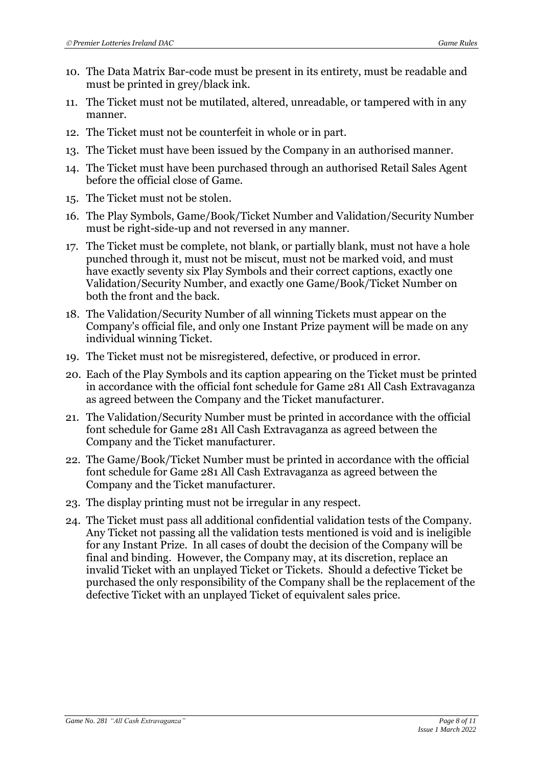- 10. The Data Matrix Bar-code must be present in its entirety, must be readable and must be printed in grey/black ink.
- 11. The Ticket must not be mutilated, altered, unreadable, or tampered with in any manner.
- 12. The Ticket must not be counterfeit in whole or in part.
- 13. The Ticket must have been issued by the Company in an authorised manner.
- 14. The Ticket must have been purchased through an authorised Retail Sales Agent before the official close of Game.
- 15. The Ticket must not be stolen.
- 16. The Play Symbols, Game/Book/Ticket Number and Validation/Security Number must be right-side-up and not reversed in any manner.
- 17. The Ticket must be complete, not blank, or partially blank, must not have a hole punched through it, must not be miscut, must not be marked void, and must have exactly seventy six Play Symbols and their correct captions, exactly one Validation/Security Number, and exactly one Game/Book/Ticket Number on both the front and the back.
- 18. The Validation/Security Number of all winning Tickets must appear on the Company's official file, and only one Instant Prize payment will be made on any individual winning Ticket.
- 19. The Ticket must not be misregistered, defective, or produced in error.
- 20. Each of the Play Symbols and its caption appearing on the Ticket must be printed in accordance with the official font schedule for Game 281 All Cash Extravaganza as agreed between the Company and the Ticket manufacturer.
- 21. The Validation/Security Number must be printed in accordance with the official font schedule for Game 281 All Cash Extravaganza as agreed between the Company and the Ticket manufacturer.
- 22. The Game/Book/Ticket Number must be printed in accordance with the official font schedule for Game 281 All Cash Extravaganza as agreed between the Company and the Ticket manufacturer.
- 23. The display printing must not be irregular in any respect.
- 24. The Ticket must pass all additional confidential validation tests of the Company. Any Ticket not passing all the validation tests mentioned is void and is ineligible for any Instant Prize. In all cases of doubt the decision of the Company will be final and binding. However, the Company may, at its discretion, replace an invalid Ticket with an unplayed Ticket or Tickets. Should a defective Ticket be purchased the only responsibility of the Company shall be the replacement of the defective Ticket with an unplayed Ticket of equivalent sales price.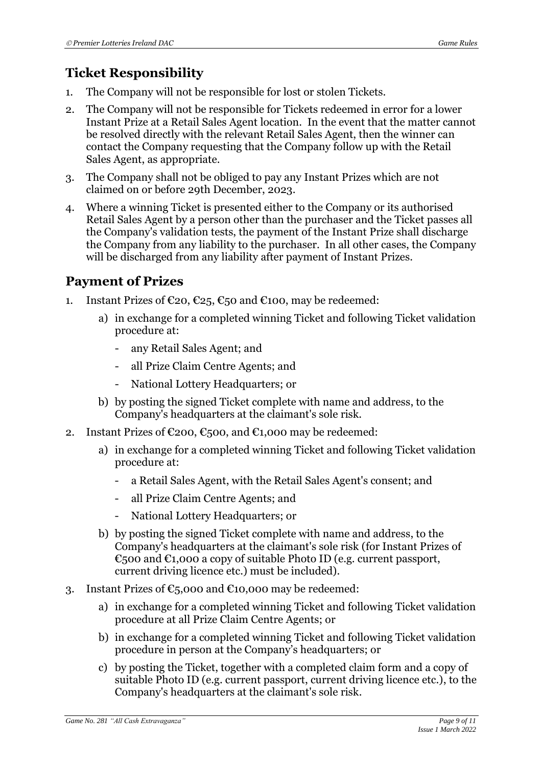## **Ticket Responsibility**

- 1. The Company will not be responsible for lost or stolen Tickets.
- 2. The Company will not be responsible for Tickets redeemed in error for a lower Instant Prize at a Retail Sales Agent location. In the event that the matter cannot be resolved directly with the relevant Retail Sales Agent, then the winner can contact the Company requesting that the Company follow up with the Retail Sales Agent, as appropriate.
- 3. The Company shall not be obliged to pay any Instant Prizes which are not claimed on or before 29th December, 2023.
- 4. Where a winning Ticket is presented either to the Company or its authorised Retail Sales Agent by a person other than the purchaser and the Ticket passes all the Company's validation tests, the payment of the Instant Prize shall discharge the Company from any liability to the purchaser. In all other cases, the Company will be discharged from any liability after payment of Instant Prizes.

## **Payment of Prizes**

- 1. Instant Prizes of  $\epsilon$ 20,  $\epsilon$ 25,  $\epsilon$ 50 and  $\epsilon$ 100, may be redeemed:
	- a) in exchange for a completed winning Ticket and following Ticket validation procedure at:
		- any Retail Sales Agent; and
		- all Prize Claim Centre Agents; and
		- National Lottery Headquarters; or
	- b) by posting the signed Ticket complete with name and address, to the Company's headquarters at the claimant's sole risk.
- 2. Instant Prizes of  $\epsilon$ 200,  $\epsilon$ 500, and  $\epsilon$ 1,000 may be redeemed:
	- a) in exchange for a completed winning Ticket and following Ticket validation procedure at:
		- a Retail Sales Agent, with the Retail Sales Agent's consent; and
		- all Prize Claim Centre Agents; and
		- National Lottery Headquarters; or
	- b) by posting the signed Ticket complete with name and address, to the Company's headquarters at the claimant's sole risk (for Instant Prizes of €500 and €1,000 a copy of suitable Photo ID (e.g. current passport, current driving licence etc.) must be included).
- 3. Instant Prizes of  $\epsilon_5$ ,000 and  $\epsilon$ 10,000 may be redeemed:
	- a) in exchange for a completed winning Ticket and following Ticket validation procedure at all Prize Claim Centre Agents; or
	- b) in exchange for a completed winning Ticket and following Ticket validation procedure in person at the Company's headquarters; or
	- c) by posting the Ticket, together with a completed claim form and a copy of suitable Photo ID (e.g. current passport, current driving licence etc.), to the Company's headquarters at the claimant's sole risk.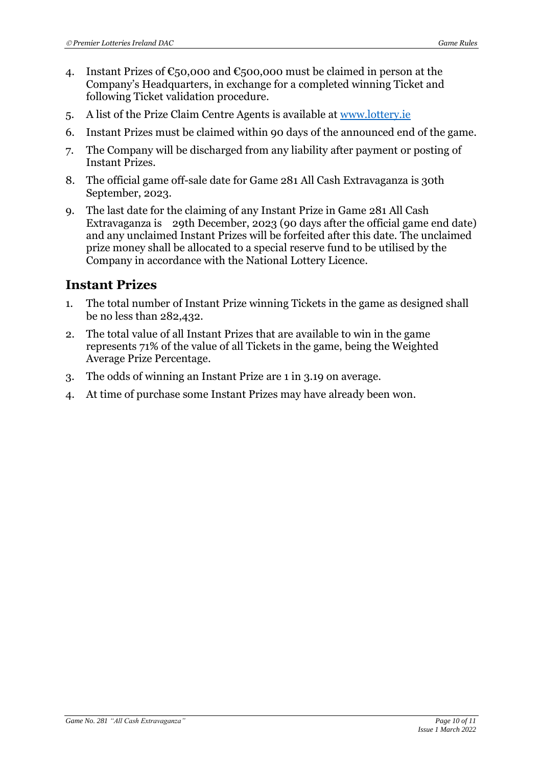- 4. Instant Prizes of  $\epsilon_{50,000}$  and  $\epsilon_{500,000}$  must be claimed in person at the Company's Headquarters, in exchange for a completed winning Ticket and following Ticket validation procedure.
- 5. A list of the Prize Claim Centre Agents is available at [www.lottery.ie](http://www.lottery.ie/)
- 6. Instant Prizes must be claimed within 90 days of the announced end of the game.
- 7. The Company will be discharged from any liability after payment or posting of Instant Prizes.
- 8. The official game off-sale date for Game 281 All Cash Extravaganza is 30th September, 2023.
- 9. The last date for the claiming of any Instant Prize in Game 281 All Cash Extravaganza is 29th December, 2023 (90 days after the official game end date) and any unclaimed Instant Prizes will be forfeited after this date. The unclaimed prize money shall be allocated to a special reserve fund to be utilised by the Company in accordance with the National Lottery Licence.

#### **Instant Prizes**

- 1. The total number of Instant Prize winning Tickets in the game as designed shall be no less than 282,432.
- 2. The total value of all Instant Prizes that are available to win in the game represents 71% of the value of all Tickets in the game, being the Weighted Average Prize Percentage.
- 3. The odds of winning an Instant Prize are 1 in 3.19 on average.
- 4. At time of purchase some Instant Prizes may have already been won.